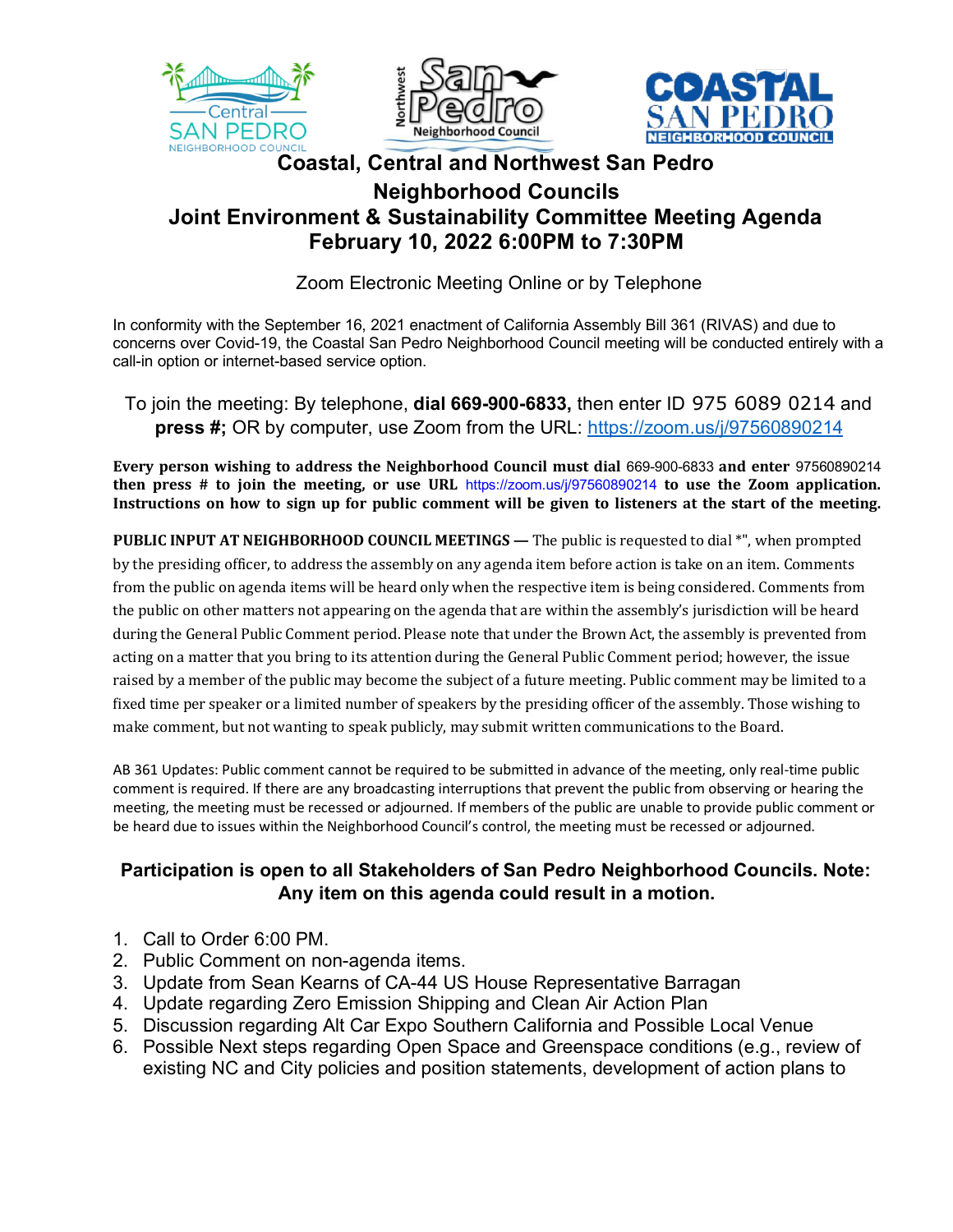





## **Coastal, Central and Northwest San Pedro Neighborhood Councils Joint Environment & Sustainability Committee Meeting Agenda February 10, 2022 6:00PM to 7:30PM**

Zoom Electronic Meeting Online or by Telephone

In conformity with the September 16, 2021 enactment of California Assembly Bill 361 (RIVAS) and due to concerns over Covid-19, the Coastal San Pedro Neighborhood Council meeting will be conducted entirely with a call-in option or internet-based service option.

To join the meeting: By telephone, **dial 669-900-6833,** then enter ID 975 6089 0214 and **press #;** OR by computer, use Zoom from the URL: https://zoom.us/j/97560890214

**Every person wishing to address the Neighborhood Council must dial 669-900-6833 and enter 97560890214 then** press  $\#$  to join the meeting, or use URL https://zoom.us/j/97560890214 to use the Zoom application. Instructions on how to sign up for public comment will be given to listeners at the start of the meeting.

**PUBLIC INPUT AT NEIGHBORHOOD COUNCIL MEETINGS** — The public is requested to dial \*", when prompted by the presiding officer, to address the assembly on any agenda item before action is take on an item. Comments from the public on agenda items will be heard only when the respective item is being considered. Comments from the public on other matters not appearing on the agenda that are within the assembly's jurisdiction will be heard during the General Public Comment period. Please note that under the Brown Act, the assembly is prevented from acting on a matter that you bring to its attention during the General Public Comment period; however, the issue raised by a member of the public may become the subject of a future meeting. Public comment may be limited to a fixed time per speaker or a limited number of speakers by the presiding officer of the assembly. Those wishing to make comment, but not wanting to speak publicly, may submit written communications to the Board.

AB 361 Updates: Public comment cannot be required to be submitted in advance of the meeting, only real-time public comment is required. If there are any broadcasting interruptions that prevent the public from observing or hearing the meeting, the meeting must be recessed or adjourned. If members of the public are unable to provide public comment or be heard due to issues within the Neighborhood Council's control, the meeting must be recessed or adjourned.

## **Participation is open to all Stakeholders of San Pedro Neighborhood Councils. Note: Any item on this agenda could result in a motion.**

- 1. Call to Order 6:00 PM.
- 2. Public Comment on non-agenda items.
- 3. Update from Sean Kearns of CA-44 US House Representative Barragan
- 4. Update regarding Zero Emission Shipping and Clean Air Action Plan
- 5. Discussion regarding Alt Car Expo Southern California and Possible Local Venue
- 6. Possible Next steps regarding Open Space and Greenspace conditions (e.g., review of existing NC and City policies and position statements, development of action plans to